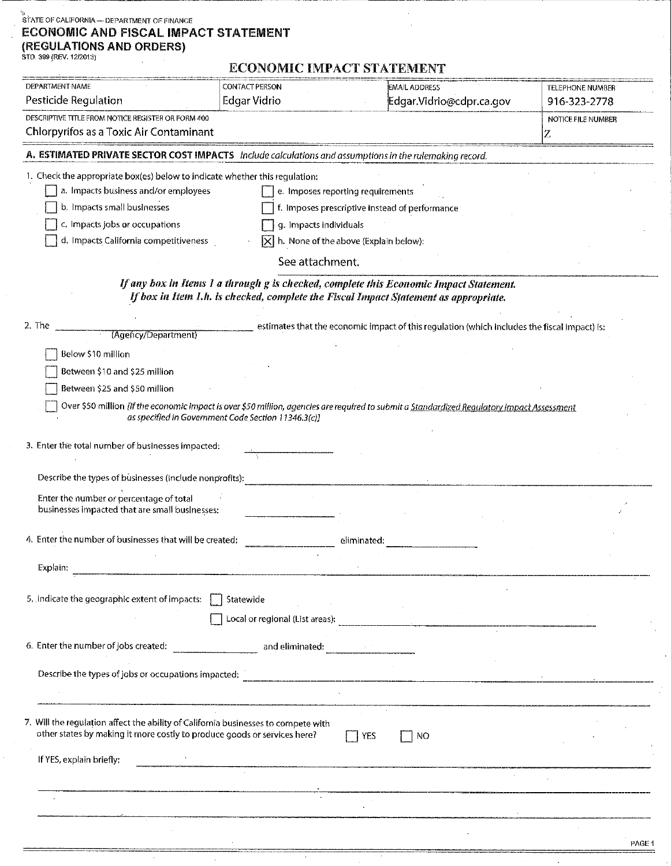# $\stackrel{\leftarrow}{\scriptstyle\sim}$  STATE OF CALIFORNIA — DEPARTMENT OF FINANCE **ECONOMIC AND FISCAL IMPACT STATEMENT** (REGULATIONS AND ORDERS)

 $\sim$ 

| DEPARTMENT NAME                                                                                         | <b>CONTACT PERSON</b>                               | EMAIL ADDRESS                                                                                                                               | TELEPHONE NUMBER   |  |  |  |
|---------------------------------------------------------------------------------------------------------|-----------------------------------------------------|---------------------------------------------------------------------------------------------------------------------------------------------|--------------------|--|--|--|
| Pesticide Regulation                                                                                    | Edgar Vidrio                                        | Edgar.Vidrio@cdpr.ca.gov                                                                                                                    | 916-323-2778       |  |  |  |
| DESCRIPTIVE TITLE FROM NOTICE REGISTER OR FORM 400                                                      |                                                     |                                                                                                                                             | NOTICE FILE NUMBER |  |  |  |
| Chlorpyrifos as a Toxic Air Contaminant                                                                 | Z                                                   |                                                                                                                                             |                    |  |  |  |
| A. ESTIMATED PRIVATE SECTOR COST IMPACTS Include calculations and assumptions in the rulemaking record. |                                                     |                                                                                                                                             |                    |  |  |  |
| 1. Check the appropriate box(es) below to indicate whether this regulation:                             |                                                     |                                                                                                                                             |                    |  |  |  |
| a. Impacts business and/or employees                                                                    |                                                     | e. Imposes reporting requirements                                                                                                           |                    |  |  |  |
| b. Impacts small businesses<br>f. Imposes prescriptive instead of performance                           |                                                     |                                                                                                                                             |                    |  |  |  |
| c. Impacts jobs or occupations<br>g. Impacts individuals                                                |                                                     |                                                                                                                                             |                    |  |  |  |
| d. Impacts California competitiveness<br>$ \mathsf{X} $ h. None of the above (Explain below):           |                                                     |                                                                                                                                             |                    |  |  |  |
|                                                                                                         | See attachment.                                     |                                                                                                                                             |                    |  |  |  |
|                                                                                                         |                                                     | If any box in Items 1 a through g is checked, complete this Economic Impact Statement.                                                      |                    |  |  |  |
|                                                                                                         |                                                     | If box in Item 1.h. is checked, complete the Fiscal Impact Statement as appropriate.                                                        |                    |  |  |  |
| 2 The                                                                                                   |                                                     |                                                                                                                                             |                    |  |  |  |
| (Agency/Department)                                                                                     |                                                     | estimates that the economic impact of this regulation (which includes the fiscal impact) is:                                                |                    |  |  |  |
| Below \$10 million                                                                                      |                                                     |                                                                                                                                             |                    |  |  |  |
| Between \$10 and \$25 million                                                                           |                                                     |                                                                                                                                             |                    |  |  |  |
| Between \$25 and \$50 million                                                                           |                                                     |                                                                                                                                             |                    |  |  |  |
|                                                                                                         |                                                     | Over \$50 million [If the economic impact is over \$50 million, agencies are required to submit a Standardized Regulatory Impact Assessment |                    |  |  |  |
|                                                                                                         | as specified in Government Code Section 11346.3(c)] |                                                                                                                                             |                    |  |  |  |
| 3. Enter the total number of businesses impacted:                                                       |                                                     |                                                                                                                                             |                    |  |  |  |
|                                                                                                         |                                                     |                                                                                                                                             |                    |  |  |  |
| Describe the types of businesses (include nonprofits):                                                  |                                                     |                                                                                                                                             |                    |  |  |  |
| Enter the number or percentage of total                                                                 |                                                     |                                                                                                                                             |                    |  |  |  |
| businesses impacted that are small businesses:                                                          |                                                     |                                                                                                                                             |                    |  |  |  |
|                                                                                                         |                                                     |                                                                                                                                             |                    |  |  |  |
| 4. Enter the number of businesses that will be created:                                                 |                                                     | eliminated:                                                                                                                                 |                    |  |  |  |
| Explain:                                                                                                |                                                     |                                                                                                                                             |                    |  |  |  |
|                                                                                                         |                                                     |                                                                                                                                             |                    |  |  |  |
| 5. Indicate the geographic extent of impacts: [                                                         | Statewide                                           |                                                                                                                                             |                    |  |  |  |
|                                                                                                         |                                                     |                                                                                                                                             |                    |  |  |  |
|                                                                                                         |                                                     |                                                                                                                                             |                    |  |  |  |
|                                                                                                         |                                                     |                                                                                                                                             |                    |  |  |  |
|                                                                                                         |                                                     |                                                                                                                                             |                    |  |  |  |
|                                                                                                         |                                                     |                                                                                                                                             |                    |  |  |  |
| 7. Will the regulation affect the ability of California businesses to compete with                      |                                                     |                                                                                                                                             |                    |  |  |  |
| other states by making it more costly to produce goods or services here?                                |                                                     | $\Box$ YES<br>NO.                                                                                                                           |                    |  |  |  |
|                                                                                                         |                                                     |                                                                                                                                             |                    |  |  |  |
| If YES, explain briefly:                                                                                |                                                     |                                                                                                                                             |                    |  |  |  |
|                                                                                                         |                                                     |                                                                                                                                             |                    |  |  |  |
|                                                                                                         |                                                     |                                                                                                                                             |                    |  |  |  |
|                                                                                                         |                                                     |                                                                                                                                             |                    |  |  |  |
|                                                                                                         |                                                     |                                                                                                                                             | DAOE 4             |  |  |  |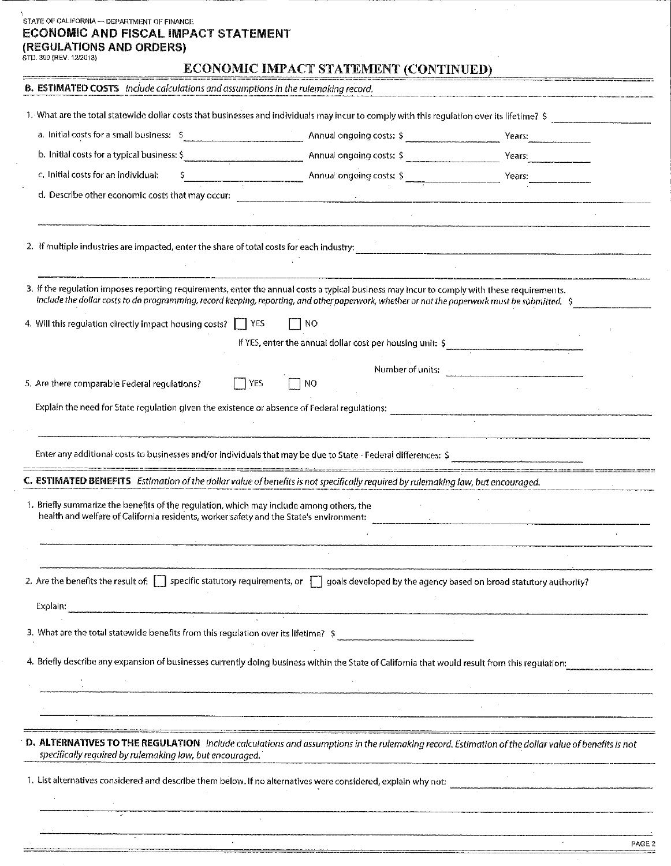# STATE OF CALIFORNIA - DEPARTMENT OF FINANCE **ECONOMIC AND FISCAL IMPACT STATEMENT (REGULATIONS AND ORDERS)**  STD. 399 (REV. 12/2013)

### **ECONOMIC IMPACT STATEMENT (CONTINUED)**

 $\sim$ 

 $\mathcal{L}^{\mathcal{L}}$ 

| <b>B. ESTIMATED COSTS</b> Include calculations and assumptions in the rulemaking record.                                                                                                                                                                                                      |      |     |                          |                                                           |        |
|-----------------------------------------------------------------------------------------------------------------------------------------------------------------------------------------------------------------------------------------------------------------------------------------------|------|-----|--------------------------|-----------------------------------------------------------|--------|
| 1. What are the total statewide dollar costs that businesses and individuals may incur to comply with this regulation over its lifetime? \$                                                                                                                                                   |      |     |                          |                                                           |        |
| a. Initial costs for a small business: \$                                                                                                                                                                                                                                                     |      |     |                          |                                                           |        |
| b. Initial costs for a typical business: \$                                                                                                                                                                                                                                                   |      |     | Annual ongoing costs: \$ | Years:                                                    |        |
| c. Initial costs for an individual:                                                                                                                                                                                                                                                           |      |     |                          |                                                           |        |
| d. Describe other economic costs that may occur:                                                                                                                                                                                                                                              |      |     |                          |                                                           |        |
|                                                                                                                                                                                                                                                                                               |      |     |                          |                                                           |        |
| 2. If multiple industries are impacted, enter the share of total costs for each industry:                                                                                                                                                                                                     |      |     |                          |                                                           |        |
|                                                                                                                                                                                                                                                                                               |      |     |                          |                                                           |        |
| 3. If the regulation imposes reporting requirements, enter the annual costs a typical business may incur to comply with these requirements.<br>Include the dollar costs to do programming, record keeping, reporting, and other paperwork, whether or not the paperwork must be submitted. \$ |      |     |                          |                                                           |        |
| 4. Will this regulation directly impact housing costs? TVES                                                                                                                                                                                                                                   |      | NO  |                          |                                                           |        |
|                                                                                                                                                                                                                                                                                               |      |     |                          | If YES, enter the annual dollar cost per housing unit: \$ |        |
|                                                                                                                                                                                                                                                                                               |      |     |                          | Number of units: Number of units:                         |        |
| 5. Are there comparable Federal regulations?                                                                                                                                                                                                                                                  | YES. | 'NO |                          |                                                           |        |
| Explain the need for State regulation given the existence or absence of Federal regulations:                                                                                                                                                                                                  |      |     |                          |                                                           |        |
|                                                                                                                                                                                                                                                                                               |      |     |                          |                                                           |        |
| Enter any additional costs to businesses and/or individuals that may be due to State - Federal differences: \$                                                                                                                                                                                |      |     |                          |                                                           |        |
| C. ESTIMATED BENEFITS Estimation of the dollar value of benefits is not specifically required by rulemaking law, but encouraged.                                                                                                                                                              |      |     |                          |                                                           |        |
| 1. Briefly summarize the benefits of the regulation, which may include among others, the                                                                                                                                                                                                      |      |     |                          |                                                           |        |
| health and welfare of California residents, worker safety and the State's environment:                                                                                                                                                                                                        |      |     |                          |                                                           |        |
|                                                                                                                                                                                                                                                                                               |      |     |                          |                                                           |        |
|                                                                                                                                                                                                                                                                                               |      |     |                          |                                                           |        |
| 2. Are the benefits the result of: $\Box$ specific statutory requirements, or $\Box$ goals developed by the agency based on broad statutory authority?                                                                                                                                        |      |     |                          |                                                           |        |
| Explain:                                                                                                                                                                                                                                                                                      |      |     |                          |                                                           |        |
| 3. What are the total statewide benefits from this regulation over its lifetime? \$                                                                                                                                                                                                           |      |     |                          |                                                           |        |
| 4. Briefly describe any expansion of businesses currently doing business within the State of California that would result from this regulation:                                                                                                                                               |      |     |                          |                                                           |        |
|                                                                                                                                                                                                                                                                                               |      |     |                          |                                                           |        |
|                                                                                                                                                                                                                                                                                               |      |     |                          |                                                           |        |
|                                                                                                                                                                                                                                                                                               |      |     |                          |                                                           |        |
| D. ALTERNATIVES TO THE REGULATION Include calculations and assumptions in the rulemaking record. Estimation of the dollar value of benefits is not<br>specifically required by rulemaking law, but encouraged.                                                                                |      |     |                          |                                                           |        |
| 1. List alternatives considered and describe them below. If no alternatives were considered, explain why not:                                                                                                                                                                                 |      |     |                          |                                                           |        |
|                                                                                                                                                                                                                                                                                               |      |     |                          |                                                           |        |
|                                                                                                                                                                                                                                                                                               |      |     |                          |                                                           |        |
|                                                                                                                                                                                                                                                                                               |      |     |                          |                                                           | PAGE 2 |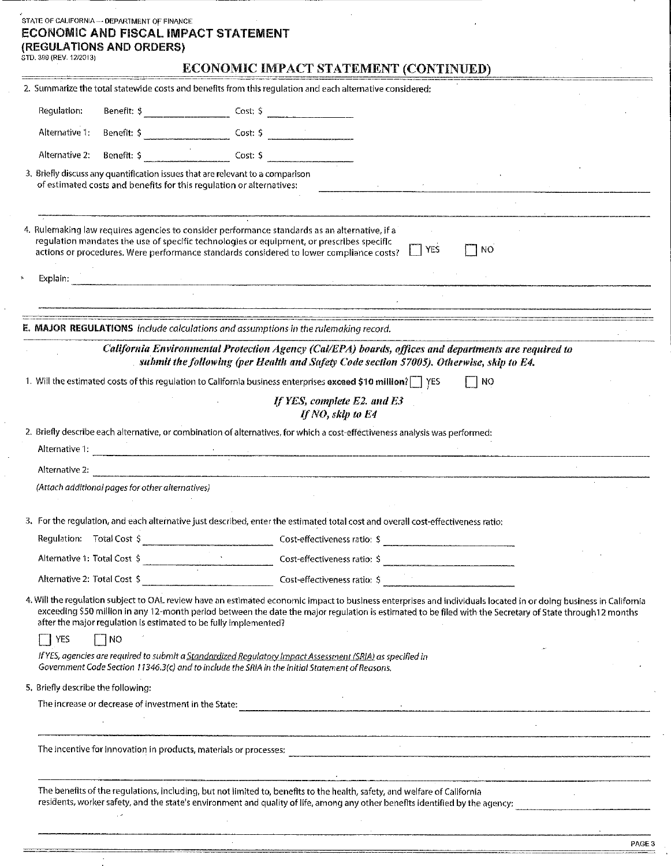|                                    | STATE OF CALIFORNIA -- DEPARTMENT OF FINANCE<br><b>ECONOMIC AND FISCAL IMPACT STATEMENT</b><br>(REGULATIONS AND ORDERS)                                                                                                                                                               |                                                                |                                                  |                                                                                                      |     |                                                                                                                                                                                                                                                                                                                                |
|------------------------------------|---------------------------------------------------------------------------------------------------------------------------------------------------------------------------------------------------------------------------------------------------------------------------------------|----------------------------------------------------------------|--------------------------------------------------|------------------------------------------------------------------------------------------------------|-----|--------------------------------------------------------------------------------------------------------------------------------------------------------------------------------------------------------------------------------------------------------------------------------------------------------------------------------|
| STD. 399 (REV. 12/2013)            |                                                                                                                                                                                                                                                                                       |                                                                |                                                  | ECONOMIC IMPACT STATEMENT (CONTINUED)                                                                |     |                                                                                                                                                                                                                                                                                                                                |
|                                    | 2. Summarize the total statewide costs and benefits from this regulation and each alternative considered:                                                                                                                                                                             |                                                                |                                                  |                                                                                                      |     |                                                                                                                                                                                                                                                                                                                                |
| Regulation:                        |                                                                                                                                                                                                                                                                                       | Benefit: $\frac{1}{2}$ Cost: $\frac{1}{2}$ Cost: $\frac{1}{2}$ |                                                  |                                                                                                      |     |                                                                                                                                                                                                                                                                                                                                |
|                                    |                                                                                                                                                                                                                                                                                       |                                                                |                                                  |                                                                                                      |     |                                                                                                                                                                                                                                                                                                                                |
| Alternative 2:                     |                                                                                                                                                                                                                                                                                       |                                                                |                                                  |                                                                                                      |     |                                                                                                                                                                                                                                                                                                                                |
|                                    | 3. Briefly discuss any quantification issues that are relevant to a comparison<br>of estimated costs and benefits for this regulation or alternatives:                                                                                                                                |                                                                |                                                  |                                                                                                      |     |                                                                                                                                                                                                                                                                                                                                |
|                                    |                                                                                                                                                                                                                                                                                       |                                                                |                                                  |                                                                                                      |     |                                                                                                                                                                                                                                                                                                                                |
|                                    | 4. Rulemaking law requires agencies to consider performance standards as an alternative, if a<br>regulation mandates the use of specific technologies or equipment, or prescribes specific<br>actions or procedures. Were performance standards considered to lower compliance costs? |                                                                |                                                  | YES                                                                                                  | NO. |                                                                                                                                                                                                                                                                                                                                |
| Explain:                           |                                                                                                                                                                                                                                                                                       |                                                                |                                                  |                                                                                                      |     |                                                                                                                                                                                                                                                                                                                                |
|                                    |                                                                                                                                                                                                                                                                                       |                                                                |                                                  |                                                                                                      |     |                                                                                                                                                                                                                                                                                                                                |
|                                    | <b>E. MAJOR REGULATIONS</b> include calculations and assumptions in the rulemaking record.                                                                                                                                                                                            |                                                                |                                                  |                                                                                                      |     |                                                                                                                                                                                                                                                                                                                                |
|                                    |                                                                                                                                                                                                                                                                                       |                                                                |                                                  | California Environmental Protection Agency (Cal/EPA) boards, offices and departments are required to |     |                                                                                                                                                                                                                                                                                                                                |
|                                    |                                                                                                                                                                                                                                                                                       |                                                                |                                                  | submit the following (per Health and Safety Code section 57005). Otherwise, skip to E4.              |     |                                                                                                                                                                                                                                                                                                                                |
|                                    | 1. Will the estimated costs of this regulation to California business enterprises exceed \$10 million?   YES                                                                                                                                                                          |                                                                |                                                  |                                                                                                      | NO  |                                                                                                                                                                                                                                                                                                                                |
|                                    |                                                                                                                                                                                                                                                                                       |                                                                | If YES, complete E2. and E3<br>If NO, skip to E4 |                                                                                                      |     |                                                                                                                                                                                                                                                                                                                                |
|                                    | 2. Briefly describe each alternative, or combination of alternatives, for which a cost-effectiveness analysis was performed:                                                                                                                                                          |                                                                |                                                  |                                                                                                      |     |                                                                                                                                                                                                                                                                                                                                |
| Alternative 2:                     |                                                                                                                                                                                                                                                                                       |                                                                |                                                  |                                                                                                      |     |                                                                                                                                                                                                                                                                                                                                |
|                                    | (Attach additional pages for other alternatives)                                                                                                                                                                                                                                      |                                                                |                                                  |                                                                                                      |     |                                                                                                                                                                                                                                                                                                                                |
|                                    | 3. For the regulation, and each alternative just described, enter the estimated total cost and overall cost-effectiveness ratio:                                                                                                                                                      |                                                                |                                                  |                                                                                                      |     |                                                                                                                                                                                                                                                                                                                                |
|                                    | Regulation: Total Cost \$                                                                                                                                                                                                                                                             |                                                                |                                                  |                                                                                                      |     |                                                                                                                                                                                                                                                                                                                                |
|                                    | Alternative 1: Total Cost \$                                                                                                                                                                                                                                                          |                                                                |                                                  |                                                                                                      |     |                                                                                                                                                                                                                                                                                                                                |
|                                    | Alternative 2: Total Cost \$                                                                                                                                                                                                                                                          |                                                                |                                                  |                                                                                                      |     |                                                                                                                                                                                                                                                                                                                                |
|                                    | after the major regulation is estimated to be fully implemented?                                                                                                                                                                                                                      |                                                                |                                                  |                                                                                                      |     | 4. Will the regulation subject to OAL review have an estimated economic impact to business enterprises and individuals located in or doing business in California<br>exceeding \$50 million in any 12-month period between the date the major regulation is estimated to be filed with the Secretary of State through12 months |
| <b>T</b> YES                       | $\Box$ NO                                                                                                                                                                                                                                                                             |                                                                |                                                  |                                                                                                      |     |                                                                                                                                                                                                                                                                                                                                |
|                                    | If YES, agencies are required to submit a Standardized Regulatory Impact Assessment (SRIA) as specified in<br>Government Code Section 11346.3(c) and to include the SRIA in the Initial Statement of Reasons.                                                                         |                                                                |                                                  |                                                                                                      |     |                                                                                                                                                                                                                                                                                                                                |
| 5. Briefly describe the following: |                                                                                                                                                                                                                                                                                       |                                                                |                                                  |                                                                                                      |     |                                                                                                                                                                                                                                                                                                                                |
|                                    |                                                                                                                                                                                                                                                                                       |                                                                |                                                  |                                                                                                      |     |                                                                                                                                                                                                                                                                                                                                |
|                                    |                                                                                                                                                                                                                                                                                       |                                                                |                                                  |                                                                                                      |     |                                                                                                                                                                                                                                                                                                                                |
|                                    |                                                                                                                                                                                                                                                                                       |                                                                |                                                  | $\sim 10^{-10}$ km s $^{-1}$                                                                         |     | The incentive for innovation in products, materials or processes:<br>The incentive for innovation in products, materials or processes:                                                                                                                                                                                         |
|                                    |                                                                                                                                                                                                                                                                                       |                                                                |                                                  |                                                                                                      |     |                                                                                                                                                                                                                                                                                                                                |
|                                    | The benefits of the regulations, including, but not limited to, benefits to the health, safety, and welfare of California                                                                                                                                                             |                                                                |                                                  |                                                                                                      |     | residents, worker safety, and the state's environment and quality of life, among any other benefits identified by the agency:                                                                                                                                                                                                  |
|                                    |                                                                                                                                                                                                                                                                                       |                                                                |                                                  |                                                                                                      |     |                                                                                                                                                                                                                                                                                                                                |

| $\sim$<br>----<br>×<br>× |
|--------------------------|
|--------------------------|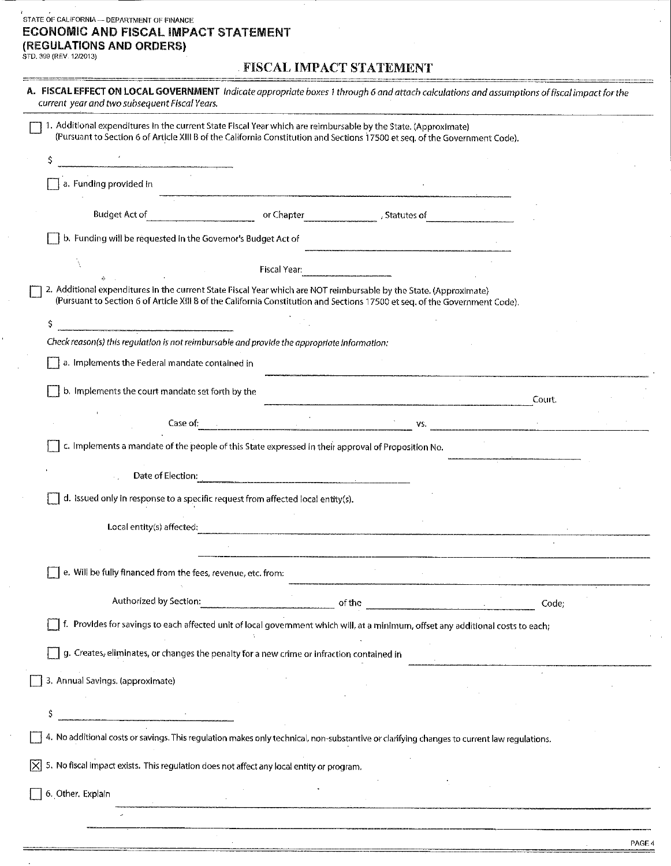# $\frac{7}{10}$  STATE OF CALIFORNIA -- DEPARTMENT OF FINANCE **ECONOMIC AND FISCAL IMPACT STATEMENT (REGULATIONS AND ORDERS)** STD. 399 (REV. 12/2013)

### FISCAL IMPACT STATEMENT

| A. FISCAL EFFECT ON LOCAL GOVERNMENT Indicate appropriate boxes 1 through 6 and attach calculations and assumptions of fiscal impact for the<br>current year and two subsequent Fiscal Years. |                                                                                                                                                                                                                                                   |              |             |  |        |  |
|-----------------------------------------------------------------------------------------------------------------------------------------------------------------------------------------------|---------------------------------------------------------------------------------------------------------------------------------------------------------------------------------------------------------------------------------------------------|--------------|-------------|--|--------|--|
|                                                                                                                                                                                               | 1. Additional expenditures in the current State Fiscal Year which are reimbursable by the State. (Approximate)<br>(Pursuant to Section 6 of Article XIII B of the California Constitution and Sections 17500 et seq. of the Government Code).     |              |             |  |        |  |
|                                                                                                                                                                                               |                                                                                                                                                                                                                                                   |              |             |  |        |  |
|                                                                                                                                                                                               | a. Funding provided in                                                                                                                                                                                                                            |              |             |  |        |  |
|                                                                                                                                                                                               | Budget Act of                                                                                                                                                                                                                                     | or Chapter   | Statutes of |  |        |  |
|                                                                                                                                                                                               | b. Funding will be requested in the Governor's Budget Act of                                                                                                                                                                                      |              |             |  |        |  |
|                                                                                                                                                                                               |                                                                                                                                                                                                                                                   | Fiscal Year: |             |  |        |  |
|                                                                                                                                                                                               | 2. Additional expenditures in the current State Fiscal Year which are NOT reimbursable by the State. (Approximate)<br>(Pursuant to Section 6 of Article XIII B of the California Constitution and Sections 17500 et seq. of the Government Code). |              |             |  |        |  |
|                                                                                                                                                                                               | S                                                                                                                                                                                                                                                 |              |             |  |        |  |
|                                                                                                                                                                                               | Check reason(s) this regulation is not reimbursable and provide the appropriate information:                                                                                                                                                      |              |             |  |        |  |
|                                                                                                                                                                                               | a. Implements the Federal mandate contained in                                                                                                                                                                                                    |              |             |  |        |  |
|                                                                                                                                                                                               | b. Implements the court mandate set forth by the                                                                                                                                                                                                  |              |             |  | Court. |  |
|                                                                                                                                                                                               | Case of: The Case of:                                                                                                                                                                                                                             |              | VS.         |  |        |  |
|                                                                                                                                                                                               | c. Implements a mandate of the people of this State expressed in their approval of Proposition No.                                                                                                                                                |              |             |  |        |  |
|                                                                                                                                                                                               | Date of Election:                                                                                                                                                                                                                                 |              |             |  |        |  |
|                                                                                                                                                                                               | d. Issued only in response to a specific request from affected local entity(s).                                                                                                                                                                   |              |             |  |        |  |
|                                                                                                                                                                                               | Local entity(s) affected:                                                                                                                                                                                                                         |              |             |  |        |  |
|                                                                                                                                                                                               |                                                                                                                                                                                                                                                   |              |             |  |        |  |
|                                                                                                                                                                                               | e. Will be fully financed from the fees, revenue, etc. from:                                                                                                                                                                                      |              |             |  |        |  |
|                                                                                                                                                                                               | Authorized by Section:                                                                                                                                                                                                                            |              | of the      |  | Code:  |  |
|                                                                                                                                                                                               | f. Provides for savings to each affected unit of local government which will, at a minimum, offset any additional costs to each;                                                                                                                  |              |             |  |        |  |
|                                                                                                                                                                                               | g. Creates, eliminates, or changes the penalty for a new crime or infraction contained in                                                                                                                                                         |              |             |  |        |  |
|                                                                                                                                                                                               | 3. Annual Savings. (approximate)                                                                                                                                                                                                                  |              |             |  |        |  |
|                                                                                                                                                                                               | Ş                                                                                                                                                                                                                                                 |              |             |  |        |  |
|                                                                                                                                                                                               | 4. No additional costs or savings. This regulation makes only technical, non-substantive or clarifying changes to current law regulations.                                                                                                        |              |             |  |        |  |
| IXI                                                                                                                                                                                           | 5. No fiscal impact exists. This regulation does not affect any local entity or program.                                                                                                                                                          |              |             |  |        |  |
|                                                                                                                                                                                               | 6. Other. Explain                                                                                                                                                                                                                                 |              |             |  |        |  |
|                                                                                                                                                                                               |                                                                                                                                                                                                                                                   |              |             |  |        |  |
|                                                                                                                                                                                               |                                                                                                                                                                                                                                                   |              |             |  |        |  |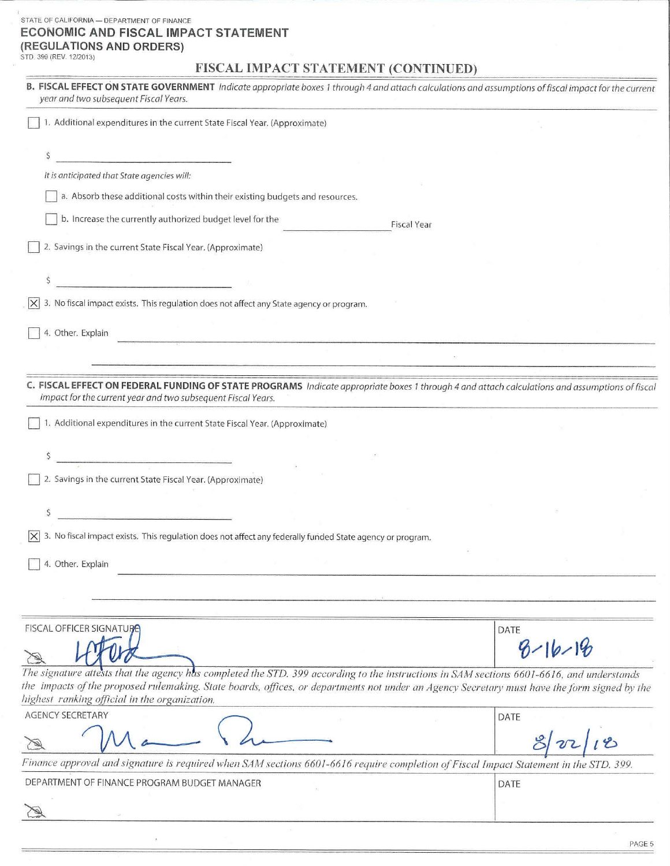#### STATE OF CALIFORNIA - DEPARTMENT OF FINANCE **ECONOMIC AND FISCAL IMPACT STATEMENT (REGULATIONS AND ORDERS)** STD. 399 (REV. 12/2013)

### **FISCAL IMPACT STATEMENT (CONTINUED)**

| B. FISCAL EFFECT ON STATE GOVERNMENT Indicate appropriate boxes 1 through 4 and attach calculations and assumptions of fiscal impact for the current<br>year and two subsequent Fiscal Years.                                                                                             |               |
|-------------------------------------------------------------------------------------------------------------------------------------------------------------------------------------------------------------------------------------------------------------------------------------------|---------------|
| 1. Additional expenditures in the current State Fiscal Year. (Approximate)                                                                                                                                                                                                                |               |
| \$<br><u>.</u><br>2000 - Paris Antonio Barriotti e al II-lea de la Regiona de Carlo III de la Regiona de la Regiona de la Region                                                                                                                                                          |               |
| It is anticipated that State agencies will:                                                                                                                                                                                                                                               |               |
| a. Absorb these additional costs within their existing budgets and resources.                                                                                                                                                                                                             |               |
| b. Increase the currently authorized budget level for the<br><b>Fiscal Year</b>                                                                                                                                                                                                           |               |
| 2. Savings in the current State Fiscal Year. (Approximate)                                                                                                                                                                                                                                |               |
|                                                                                                                                                                                                                                                                                           |               |
| 3. No fiscal impact exists. This regulation does not affect any State agency or program.                                                                                                                                                                                                  |               |
| 4. Other. Explain                                                                                                                                                                                                                                                                         |               |
|                                                                                                                                                                                                                                                                                           |               |
| C. FISCAL EFFECT ON FEDERAL FUNDING OF STATE PROGRAMS Indicate appropriate boxes 1 through 4 and attach calculations and assumptions of fiscal<br>impact for the current year and two subsequent Fiscal Years.                                                                            |               |
| 1. Additional expenditures in the current State Fiscal Year. (Approximate)                                                                                                                                                                                                                |               |
|                                                                                                                                                                                                                                                                                           |               |
| 2. Savings in the current State Fiscal Year. (Approximate)                                                                                                                                                                                                                                |               |
| Ş                                                                                                                                                                                                                                                                                         |               |
| 3. No fiscal impact exists. This regulation does not affect any federally funded State agency or program.<br>$ \times $                                                                                                                                                                   |               |
| 4. Other. Explain                                                                                                                                                                                                                                                                         |               |
|                                                                                                                                                                                                                                                                                           |               |
| <b>FISCAL OFFICER SIGNATURE</b>                                                                                                                                                                                                                                                           | DATE          |
|                                                                                                                                                                                                                                                                                           | $8 - 16 - 18$ |
| The signature attests that the agency has completed the STD. 399 according to the instructions in SAM sections 6601-6616, and understands<br>the impacts of the proposed rulemaking. State boards, offices, or departments not under an Agency Secretary must have the form signed by the |               |
| highest ranking official in the organization.<br><b>AGENCY SECRETARY</b>                                                                                                                                                                                                                  |               |
|                                                                                                                                                                                                                                                                                           | DATE          |
| Finance approval and signature is required when SAM sections 6601-6616 require completion of Fiscal Impact Statement in the STD. 399.                                                                                                                                                     |               |
| DEPARTMENT OF FINANCE PROGRAM BUDGET MANAGER                                                                                                                                                                                                                                              | DATE          |
|                                                                                                                                                                                                                                                                                           |               |
|                                                                                                                                                                                                                                                                                           |               |